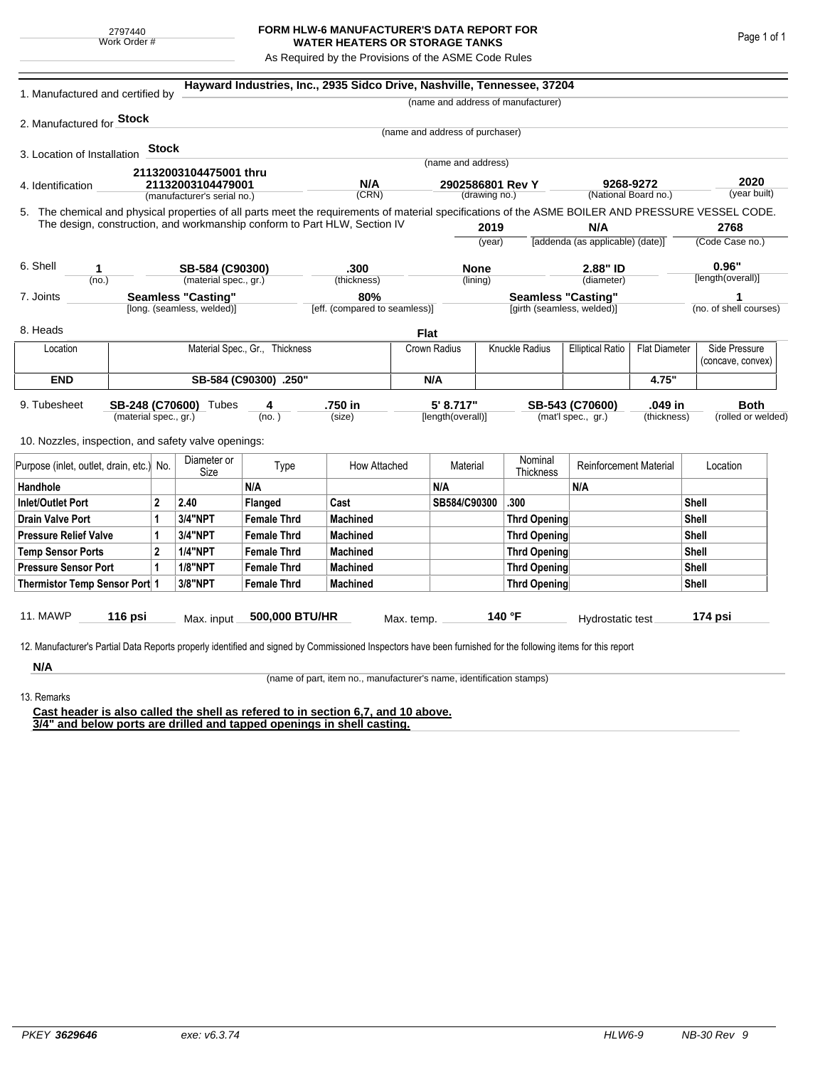## **FORM HLW-6 MANUFACTURER'S DATA REPORT FOR WATER HEATERS OR STORAGE TANKS**

As Required by the Provisions of the ASME Code Rules

| 1. Manufactured and certified by                                                                                                                              |                       |              |                             |                                | Hayward Industries, Inc., 2935 Sidco Drive, Nashville, Tennessee, 37204   |            |                                 |                           |                                         |                                                 |                         |                      |                        |  |
|---------------------------------------------------------------------------------------------------------------------------------------------------------------|-----------------------|--------------|-----------------------------|--------------------------------|---------------------------------------------------------------------------|------------|---------------------------------|---------------------------|-----------------------------------------|-------------------------------------------------|-------------------------|----------------------|------------------------|--|
|                                                                                                                                                               |                       |              |                             |                                |                                                                           |            |                                 |                           | (name and address of manufacturer)      |                                                 |                         |                      |                        |  |
| 2. Manufactured for <b>Stock</b>                                                                                                                              |                       |              |                             |                                |                                                                           |            |                                 |                           |                                         |                                                 |                         |                      |                        |  |
|                                                                                                                                                               |                       |              |                             |                                |                                                                           |            | (name and address of purchaser) |                           |                                         |                                                 |                         |                      |                        |  |
| 3. Location of Installation                                                                                                                                   |                       | <b>Stock</b> |                             |                                |                                                                           |            |                                 |                           |                                         |                                                 |                         |                      |                        |  |
|                                                                                                                                                               |                       |              | 21132003104475001 thru      |                                |                                                                           |            | (name and address)              |                           |                                         |                                                 |                         |                      |                        |  |
| 4. Identification                                                                                                                                             |                       |              | 21132003104479001           |                                | N/A                                                                       |            | 2902586801 Rev Y                |                           |                                         | 9268-9272<br>(National Board no.)               |                         | 2020<br>(year built) |                        |  |
|                                                                                                                                                               |                       |              | (manufacturer's serial no.) |                                | (CRN)                                                                     |            |                                 | (drawing no.)             |                                         |                                                 |                         |                      |                        |  |
| 5. The chemical and physical properties of all parts meet the requirements of material specifications of the ASME BOILER AND PRESSURE VESSEL CODE.            |                       |              |                             |                                | The design, construction, and workmanship conform to Part HLW, Section IV |            |                                 |                           |                                         |                                                 |                         |                      |                        |  |
|                                                                                                                                                               |                       |              |                             |                                |                                                                           |            | 2019                            |                           | N/A<br>[addenda (as applicable) (date)] |                                                 | 2768<br>(Code Case no.) |                      |                        |  |
|                                                                                                                                                               |                       |              |                             |                                |                                                                           |            |                                 | (year)                    |                                         |                                                 |                         |                      |                        |  |
| 6. Shell<br>1                                                                                                                                                 |                       |              | SB-584 (C90300)             |                                | .300                                                                      |            | <b>None</b>                     |                           |                                         | 2.88" ID                                        |                         | 0.96"                |                        |  |
| (no.)                                                                                                                                                         |                       |              | (material spec., gr.)       |                                | (thickness)                                                               |            |                                 | (lining)                  |                                         | (diameter)                                      |                         |                      | [length(overall)]      |  |
| <b>Seamless "Casting"</b><br>7. Joints                                                                                                                        |                       |              |                             | 80%                            |                                                                           |            |                                 | <b>Seamless "Casting"</b> |                                         |                                                 | 1                       |                      |                        |  |
|                                                                                                                                                               |                       |              | [long. (seamless, welded)]  |                                | [eff. (compared to seamless)]                                             |            |                                 |                           | [girth (seamless, welded)]              |                                                 |                         |                      | (no. of shell courses) |  |
| 8. Heads                                                                                                                                                      |                       |              |                             |                                |                                                                           | Flat       |                                 |                           |                                         |                                                 |                         |                      |                        |  |
| Location                                                                                                                                                      |                       |              |                             | Material Spec., Gr., Thickness |                                                                           |            | Crown Radius                    |                           | Knuckle Radius                          | <b>Elliptical Ratio</b><br><b>Flat Diameter</b> |                         |                      | Side Pressure          |  |
|                                                                                                                                                               |                       |              |                             |                                |                                                                           |            |                                 |                           |                                         |                                                 |                         |                      | (concave, convex)      |  |
| <b>END</b>                                                                                                                                                    | SB-584 (C90300) .250" |              |                             |                                |                                                                           |            | N/A                             |                           |                                         | 4.75"                                           |                         |                      |                        |  |
| 9. Tubesheet                                                                                                                                                  |                       |              | SB-248 (C70600) Tubes       | 4                              | .750 in                                                                   |            | 5' 8.717"                       |                           |                                         | SB-543 (C70600)                                 | .049 in                 |                      | <b>Both</b>            |  |
| (material spec., gr.)                                                                                                                                         |                       |              | (no.)                       |                                | (size)                                                                    |            | [length(overall)]               |                           | (mat'l spec., gr.)<br>(thickness)       |                                                 | (rolled or welded)      |                      |                        |  |
| 10. Nozzles, inspection, and safety valve openings:                                                                                                           |                       |              |                             |                                |                                                                           |            |                                 |                           |                                         |                                                 |                         |                      |                        |  |
|                                                                                                                                                               |                       |              | Diameter or                 |                                |                                                                           |            |                                 |                           | Nominal                                 |                                                 |                         |                      |                        |  |
| Purpose (inlet, outlet, drain, etc.)                                                                                                                          |                       | No.          | Size                        | Type                           | How Attached                                                              |            | Material                        |                           | Thickness                               | <b>Reinforcement Material</b>                   |                         |                      | Location               |  |
| Handhole                                                                                                                                                      |                       |              |                             | N/A                            |                                                                           |            | N/A                             |                           |                                         | N/A                                             |                         |                      |                        |  |
| $\overline{2}$<br><b>Inlet/Outlet Port</b>                                                                                                                    |                       |              | 2.40                        | Flanged                        | Cast                                                                      |            | SB584/C90300                    |                           | .300                                    |                                                 |                         | Shell                |                        |  |
| <b>Drain Valve Port</b><br>1                                                                                                                                  |                       |              | 3/4"NPT                     | <b>Female Thrd</b>             | <b>Machined</b>                                                           |            |                                 |                           | <b>Thrd Opening</b>                     |                                                 |                         | Shell                |                        |  |
| <b>Pressure Relief Valve</b><br>1                                                                                                                             |                       |              | 3/4"NPT                     | <b>Female Thrd</b>             | <b>Machined</b>                                                           |            |                                 |                           | <b>Thrd Opening</b>                     |                                                 |                         | Shell                |                        |  |
| $\overline{2}$<br><b>Temp Sensor Ports</b>                                                                                                                    |                       |              | <b>1/4"NPT</b>              | <b>Female Thrd</b>             | <b>Machined</b>                                                           |            |                                 | <b>Thrd Opening</b>       |                                         |                                                 |                         | Shell                |                        |  |
| <b>Pressure Sensor Port</b><br>1                                                                                                                              |                       |              | <b>1/8"NPT</b>              | <b>Female Thrd</b>             | <b>Machined</b>                                                           |            |                                 | <b>Thrd Opening</b>       |                                         |                                                 | Shell                   |                      |                        |  |
| Thermistor Temp Sensor Port 1                                                                                                                                 |                       |              | 3/8"NPT                     | <b>Female Thrd</b>             | <b>Machined</b>                                                           |            |                                 | <b>Thrd Opening</b>       |                                         |                                                 |                         |                      | Shell                  |  |
|                                                                                                                                                               |                       |              |                             |                                |                                                                           |            |                                 |                           |                                         |                                                 |                         |                      |                        |  |
| 11. MAWP                                                                                                                                                      | 116 psi               |              | Max. input                  | 500,000 BTU/HR                 |                                                                           | Max. temp. |                                 |                           | 140 °F                                  | Hydrostatic test                                |                         |                      | 174 psi                |  |
| 12. Manufacturer's Partial Data Reports properly identified and signed by Commissioned Inspectors have been furnished for the following items for this report |                       |              |                             |                                |                                                                           |            |                                 |                           |                                         |                                                 |                         |                      |                        |  |
|                                                                                                                                                               |                       |              |                             |                                |                                                                           |            |                                 |                           |                                         |                                                 |                         |                      |                        |  |
| N/A                                                                                                                                                           |                       |              |                             |                                |                                                                           |            |                                 |                           |                                         |                                                 |                         |                      |                        |  |

(name of part, item no., manufacturer's name, identification stamps)

13. Remarks

**Cast header is also called the shell as refered to in section 6,7, and 10 above. 3/4" and below ports are drilled and tapped openings in shell casting.**